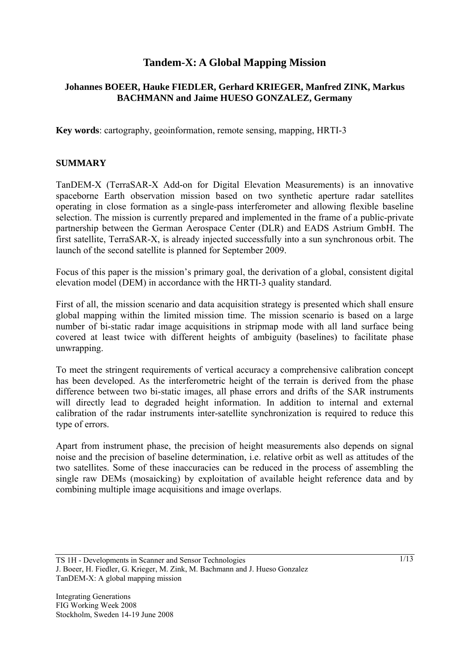# **Tandem-X: A Global Mapping Mission**

## **Johannes BOEER, Hauke FIEDLER, Gerhard KRIEGER, Manfred ZINK, Markus BACHMANN and Jaime HUESO GONZALEZ, Germany**

**Key words**: cartography, geoinformation, remote sensing, mapping, HRTI-3

#### **SUMMARY**

TanDEM-X (TerraSAR-X Add-on for Digital Elevation Measurements) is an innovative spaceborne Earth observation mission based on two synthetic aperture radar satellites operating in close formation as a single-pass interferometer and allowing flexible baseline selection. The mission is currently prepared and implemented in the frame of a public-private partnership between the German Aerospace Center (DLR) and EADS Astrium GmbH. The first satellite, TerraSAR-X, is already injected successfully into a sun synchronous orbit. The launch of the second satellite is planned for September 2009.

Focus of this paper is the mission's primary goal, the derivation of a global, consistent digital elevation model (DEM) in accordance with the HRTI-3 quality standard.

First of all, the mission scenario and data acquisition strategy is presented which shall ensure global mapping within the limited mission time. The mission scenario is based on a large number of bi-static radar image acquisitions in stripmap mode with all land surface being covered at least twice with different heights of ambiguity (baselines) to facilitate phase unwrapping.

To meet the stringent requirements of vertical accuracy a comprehensive calibration concept has been developed. As the interferometric height of the terrain is derived from the phase difference between two bi-static images, all phase errors and drifts of the SAR instruments will directly lead to degraded height information. In addition to internal and external calibration of the radar instruments inter-satellite synchronization is required to reduce this type of errors.

Apart from instrument phase, the precision of height measurements also depends on signal noise and the precision of baseline determination, i.e. relative orbit as well as attitudes of the two satellites. Some of these inaccuracies can be reduced in the process of assembling the single raw DEMs (mosaicking) by exploitation of available height reference data and by combining multiple image acquisitions and image overlaps.

TS 1H - Developments in Scanner and Sensor Technologies J. Boeer, H. Fiedler, G. Krieger, M. Zink, M. Bachmann and J. Hueso Gonzalez TanDEM-X: A global mapping mission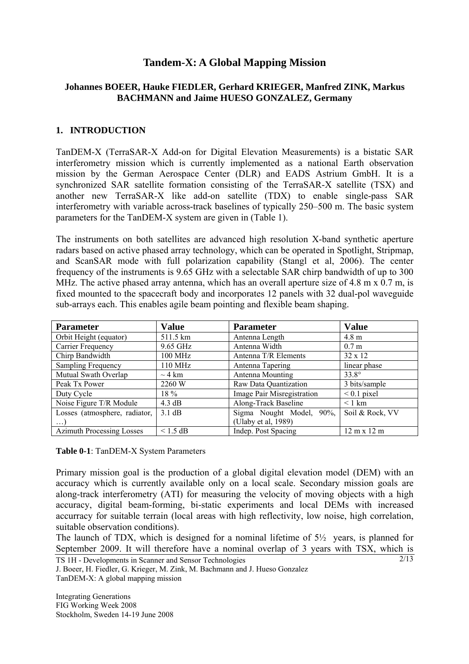# **Tandem-X: A Global Mapping Mission**

### **Johannes BOEER, Hauke FIEDLER, Gerhard KRIEGER, Manfred ZINK, Markus BACHMANN and Jaime HUESO GONZALEZ, Germany**

### **1. INTRODUCTION**

TanDEM-X (TerraSAR-X Add-on for Digital Elevation Measurements) is a bistatic SAR interferometry mission which is currently implemented as a national Earth observation mission by the German Aerospace Center (DLR) and EADS Astrium GmbH. It is a synchronized SAR satellite formation consisting of the TerraSAR-X satellite (TSX) and another new TerraSAR-X like add-on satellite (TDX) to enable single-pass SAR interferometry with variable across-track baselines of typically 250–500 m. The basic system parameters for the TanDEM-X system are given in (Table 1).

The instruments on both satellites are advanced high resolution X-band synthetic aperture radars based on active phased array technology, which can be operated in Spotlight, Stripmap, and ScanSAR mode with full polarization capability (Stangl et al, 2006). The center frequency of the instruments is 9.65 GHz with a selectable SAR chirp bandwidth of up to 300 MHz. The active phased array antenna, which has an overall aperture size of 4.8 m  $\times$  0.7 m, is fixed mounted to the spacecraft body and incorporates 12 panels with 32 dual-pol waveguide sub-arrays each. This enables agile beam pointing and flexible beam shaping.

| <b>Parameter</b>                 | <b>Value</b>     | <b>Parameter</b>            | <b>Value</b>                       |  |
|----------------------------------|------------------|-----------------------------|------------------------------------|--|
| Orbit Height (equator)           | 511.5 km         | Antenna Length              | $4.8 \text{ m}$                    |  |
| Carrier Frequency                | 9.65 GHz         | Antenna Width               | 0.7 <sub>m</sub>                   |  |
| Chirp Bandwidth                  | 100 MHz          | Antenna T/R Elements        | $32 \times 12$                     |  |
| <b>Sampling Frequency</b>        | 110 MHz          | Antenna Tapering            | linear phase                       |  |
| Mutual Swath Overlap             | $\sim$ 4 km      | Antenna Mounting            | $33.8^\circ$                       |  |
| Peak Tx Power                    | 2260 W           | Raw Data Quantization       | 3 bits/sample                      |  |
| Duty Cycle                       | 18 %             | Image Pair Misregistration  | $< 0.1$ pixel                      |  |
| Noise Figure T/R Module          | 4.3 dB           | Along-Track Baseline        | $\leq 1$ km                        |  |
| Losses (atmosphere, radiator,    | $3.1 \text{ dB}$ | Sigma Nought Model,<br>90%, | Soil & Rock, VV                    |  |
| $\ldots$                         |                  | (Ulaby et al, 1989)         |                                    |  |
| <b>Azimuth Processing Losses</b> | $\leq$ 1.5 dB    | Indep. Post Spacing         | $12 \text{ m} \times 12 \text{ m}$ |  |

**Table 0-1**: TanDEM-X System Parameters

Primary mission goal is the production of a global digital elevation model (DEM) with an accuracy which is currently available only on a local scale. Secondary mission goals are along-track interferometry (ATI) for measuring the velocity of moving objects with a high accuracy, digital beam-forming, bi-static experiments and local DEMs with increased accurracy for suitable terrain (local areas with high reflectivity, low noise, high correlation, suitable observation conditions).

The launch of TDX, which is designed for a nominal lifetime of  $5\frac{1}{2}$  years, is planned for September 2009. It will therefore have a nominal overlap of 3 years with TSX, which is

```
TS 1H - Developments in Scanner and Sensor Technologies 
J. Boeer, H. Fiedler, G. Krieger, M. Zink, M. Bachmann and J. Hueso Gonzalez 
TanDEM-X: A global mapping mission
```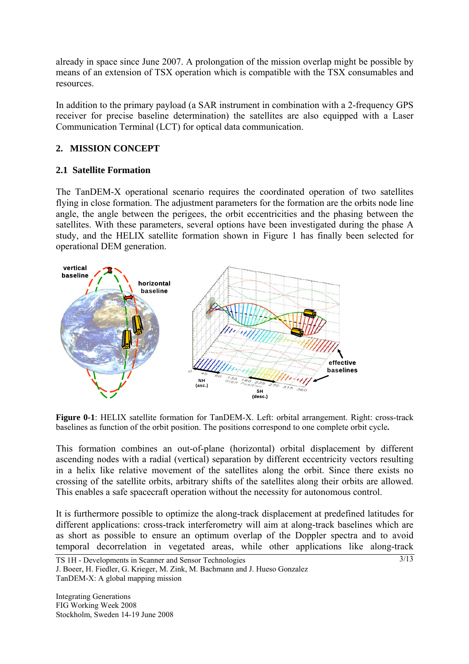already in space since June 2007. A prolongation of the mission overlap might be possible by means of an extension of TSX operation which is compatible with the TSX consumables and resources.

In addition to the primary payload (a SAR instrument in combination with a 2-frequency GPS receiver for precise baseline determination) the satellites are also equipped with a Laser Communication Terminal (LCT) for optical data communication.

# **2. MISSION CONCEPT**

# **2.1 Satellite Formation**

The TanDEM-X operational scenario requires the coordinated operation of two satellites flying in close formation. The adjustment parameters for the formation are the orbits node line angle, the angle between the perigees, the orbit eccentricities and the phasing between the satellites. With these parameters, several options have been investigated during the phase A study, and the HELIX satellite formation shown in Figure 1 has finally been selected for operational DEM generation.



**Figure 0-1**: HELIX satellite formation for TanDEM-X. Left: orbital arrangement. Right: cross-track baselines as function of the orbit position. The positions correspond to one complete orbit cycle**.** 

This formation combines an out-of-plane (horizontal) orbital displacement by different ascending nodes with a radial (vertical) separation by different eccentricity vectors resulting in a helix like relative movement of the satellites along the orbit. Since there exists no crossing of the satellite orbits, arbitrary shifts of the satellites along their orbits are allowed. This enables a safe spacecraft operation without the necessity for autonomous control.

It is furthermore possible to optimize the along-track displacement at predefined latitudes for different applications: cross-track interferometry will aim at along-track baselines which are as short as possible to ensure an optimum overlap of the Doppler spectra and to avoid temporal decorrelation in vegetated areas, while other applications like along-track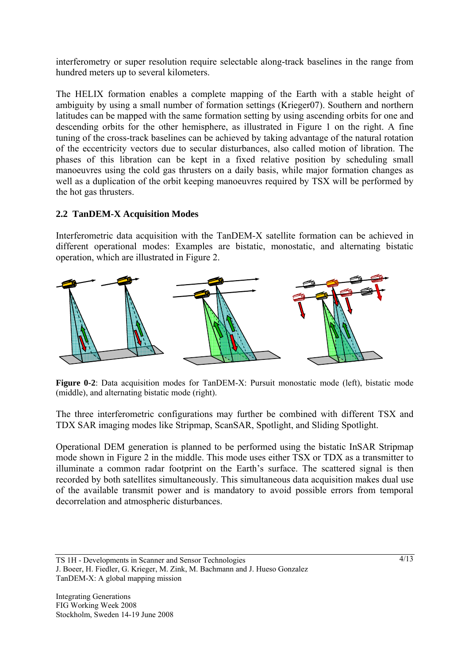interferometry or super resolution require selectable along-track baselines in the range from hundred meters up to several kilometers.

The HELIX formation enables a complete mapping of the Earth with a stable height of ambiguity by using a small number of formation settings (Krieger07). Southern and northern latitudes can be mapped with the same formation setting by using ascending orbits for one and descending orbits for the other hemisphere, as illustrated in Figure 1 on the right. A fine tuning of the cross-track baselines can be achieved by taking advantage of the natural rotation of the eccentricity vectors due to secular disturbances, also called motion of libration. The phases of this libration can be kept in a fixed relative position by scheduling small manoeuvres using the cold gas thrusters on a daily basis, while major formation changes as well as a duplication of the orbit keeping manoeuvres required by TSX will be performed by the hot gas thrusters.

# **2.2 TanDEM-X Acquisition Modes**

Interferometric data acquisition with the TanDEM-X satellite formation can be achieved in different operational modes: Examples are bistatic, monostatic, and alternating bistatic operation, which are illustrated in Figure 2.



**Figure 0-2**: Data acquisition modes for TanDEM-X: Pursuit monostatic mode (left), bistatic mode (middle), and alternating bistatic mode (right).

The three interferometric configurations may further be combined with different TSX and TDX SAR imaging modes like Stripmap, ScanSAR, Spotlight, and Sliding Spotlight.

Operational DEM generation is planned to be performed using the bistatic InSAR Stripmap mode shown in Figure 2 in the middle. This mode uses either TSX or TDX as a transmitter to illuminate a common radar footprint on the Earth's surface. The scattered signal is then recorded by both satellites simultaneously. This simultaneous data acquisition makes dual use of the available transmit power and is mandatory to avoid possible errors from temporal decorrelation and atmospheric disturbances.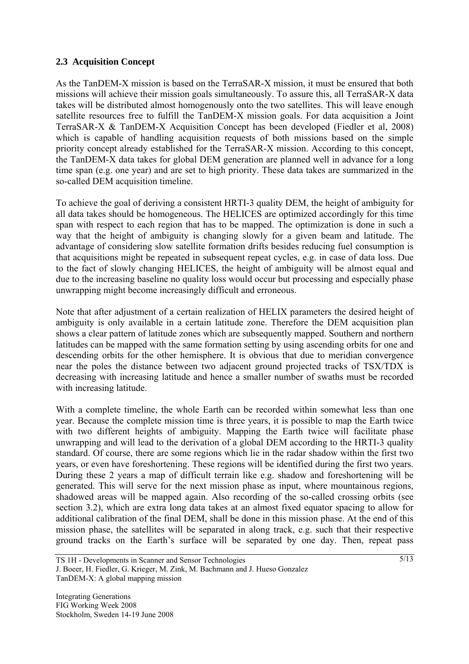## **2.3 Acquisition Concept**

As the TanDEM-X mission is based on the TerraSAR-X mission, it must be ensured that both missions will achieve their mission goals simultaneously. To assure this, all TerraSAR-X data takes will be distributed almost homogenously onto the two satellites. This will leave enough satellite resources free to fulfill the TanDEM-X mission goals. For data acquisition a Joint TerraSAR-X & TanDEM-X Acquisition Concept has been developed (Fiedler et al, 2008) which is capable of handling acquisition requests of both missions based on the simple priority concept already established for the TerraSAR-X mission. According to this concept, the TanDEM-X data takes for global DEM generation are planned well in advance for a long time span (e.g. one year) and are set to high priority. These data takes are summarized in the so-called DEM acquisition timeline.

To achieve the goal of deriving a consistent HRTI-3 quality DEM, the height of ambiguity for all data takes should be homogeneous. The HELICES are optimized accordingly for this time span with respect to each region that has to be mapped. The optimization is done in such a way that the height of ambiguity is changing slowly for a given beam and latitude. The advantage of considering slow satellite formation drifts besides reducing fuel consumption is that acquisitions might be repeated in subsequent repeat cycles, e.g. in case of data loss. Due to the fact of slowly changing HELICES, the height of ambiguity will be almost equal and due to the increasing baseline no quality loss would occur but processing and especially phase unwrapping might become increasingly difficult and erroneous.

Note that after adjustment of a certain realization of HELIX parameters the desired height of ambiguity is only available in a certain latitude zone. Therefore the DEM acquisition plan shows a clear pattern of latitude zones which are subsequently mapped. Southern and northern latitudes can be mapped with the same formation setting by using ascending orbits for one and descending orbits for the other hemisphere. It is obvious that due to meridian convergence near the poles the distance between two adjacent ground projected tracks of TSX/TDX is decreasing with increasing latitude and hence a smaller number of swaths must be recorded with increasing latitude.

With a complete timeline, the whole Earth can be recorded within somewhat less than one year. Because the complete mission time is three years, it is possible to map the Earth twice with two different heights of ambiguity. Mapping the Earth twice will facilitate phase unwrapping and will lead to the derivation of a global DEM according to the HRTI-3 quality standard. Of course, there are some regions which lie in the radar shadow within the first two years, or even have foreshortening. These regions will be identified during the first two years. During these 2 years a map of difficult terrain like e.g. shadow and foreshortening will be generated. This will serve for the next mission phase as input, where mountainous regions, shadowed areas will be mapped again. Also recording of the so-called crossing orbits (see section 3.2), which are extra long data takes at an almost fixed equator spacing to allow for additional calibration of the final DEM, shall be done in this mission phase. At the end of this mission phase, the satellites will be separated in along track, e.g. such that their respective ground tracks on the Earth's surface will be separated by one day. Then, repeat pass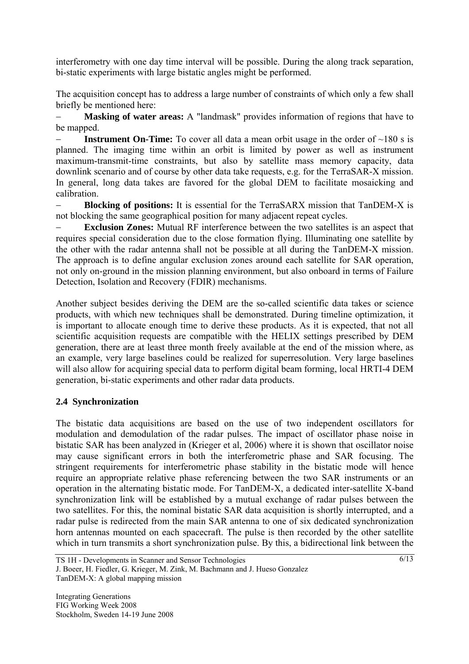interferometry with one day time interval will be possible. During the along track separation, bi-static experiments with large bistatic angles might be performed.

The acquisition concept has to address a large number of constraints of which only a few shall briefly be mentioned here:

Masking of water areas: A "landmask" provides information of regions that have to be mapped.

− **Instrument On-Time:** To cover all data a mean orbit usage in the order of ~180 s is planned. The imaging time within an orbit is limited by power as well as instrument maximum-transmit-time constraints, but also by satellite mass memory capacity, data downlink scenario and of course by other data take requests, e.g. for the TerraSAR-X mission. In general, long data takes are favored for the global DEM to facilitate mosaicking and calibration.

**Blocking of positions:** It is essential for the TerraSARX mission that TanDEM-X is not blocking the same geographical position for many adjacent repeat cycles.

**Exclusion Zones:** Mutual RF interference between the two satellites is an aspect that requires special consideration due to the close formation flying. Illuminating one satellite by the other with the radar antenna shall not be possible at all during the TanDEM-X mission. The approach is to define angular exclusion zones around each satellite for SAR operation, not only on-ground in the mission planning environment, but also onboard in terms of Failure Detection, Isolation and Recovery (FDIR) mechanisms.

Another subject besides deriving the DEM are the so-called scientific data takes or science products, with which new techniques shall be demonstrated. During timeline optimization, it is important to allocate enough time to derive these products. As it is expected, that not all scientific acquisition requests are compatible with the HELIX settings prescribed by DEM generation, there are at least three month freely available at the end of the mission where, as an example, very large baselines could be realized for superresolution. Very large baselines will also allow for acquiring special data to perform digital beam forming, local HRTI-4 DEM generation, bi-static experiments and other radar data products.

# **2.4 Synchronization**

The bistatic data acquisitions are based on the use of two independent oscillators for modulation and demodulation of the radar pulses. The impact of oscillator phase noise in bistatic SAR has been analyzed in (Krieger et al, 2006) where it is shown that oscillator noise may cause significant errors in both the interferometric phase and SAR focusing. The stringent requirements for interferometric phase stability in the bistatic mode will hence require an appropriate relative phase referencing between the two SAR instruments or an operation in the alternating bistatic mode. For TanDEM-X, a dedicated inter-satellite X-band synchronization link will be established by a mutual exchange of radar pulses between the two satellites. For this, the nominal bistatic SAR data acquisition is shortly interrupted, and a radar pulse is redirected from the main SAR antenna to one of six dedicated synchronization horn antennas mounted on each spacecraft. The pulse is then recorded by the other satellite which in turn transmits a short synchronization pulse. By this, a bidirectional link between the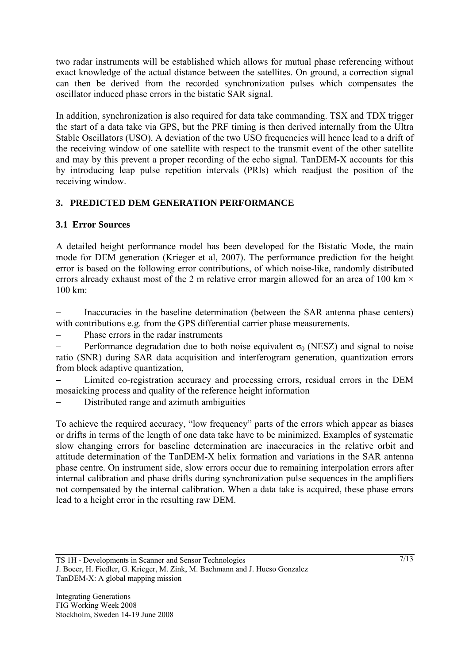two radar instruments will be established which allows for mutual phase referencing without exact knowledge of the actual distance between the satellites. On ground, a correction signal can then be derived from the recorded synchronization pulses which compensates the oscillator induced phase errors in the bistatic SAR signal.

In addition, synchronization is also required for data take commanding. TSX and TDX trigger the start of a data take via GPS, but the PRF timing is then derived internally from the Ultra Stable Oscillators (USO). A deviation of the two USO frequencies will hence lead to a drift of the receiving window of one satellite with respect to the transmit event of the other satellite and may by this prevent a proper recording of the echo signal. TanDEM-X accounts for this by introducing leap pulse repetition intervals (PRIs) which readjust the position of the receiving window.

# **3. PREDICTED DEM GENERATION PERFORMANCE**

# **3.1 Error Sources**

A detailed height performance model has been developed for the Bistatic Mode, the main mode for DEM generation (Krieger et al, 2007). The performance prediction for the height error is based on the following error contributions, of which noise-like, randomly distributed errors already exhaust most of the 2 m relative error margin allowed for an area of 100 km  $\times$ 100 km:

Inaccuracies in the baseline determination (between the SAR antenna phase centers) with contributions e.g. from the GPS differential carrier phase measurements.

Phase errors in the radar instruments

Performance degradation due to both noise equivalent  $\sigma_0$  (NESZ) and signal to noise ratio (SNR) during SAR data acquisition and interferogram generation, quantization errors from block adaptive quantization,

Limited co-registration accuracy and processing errors, residual errors in the DEM mosaicking process and quality of the reference height information

Distributed range and azimuth ambiguities

To achieve the required accuracy, "low frequency" parts of the errors which appear as biases or drifts in terms of the length of one data take have to be minimized. Examples of systematic slow changing errors for baseline determination are inaccuracies in the relative orbit and attitude determination of the TanDEM-X helix formation and variations in the SAR antenna phase centre. On instrument side, slow errors occur due to remaining interpolation errors after internal calibration and phase drifts during synchronization pulse sequences in the amplifiers not compensated by the internal calibration. When a data take is acquired, these phase errors lead to a height error in the resulting raw DEM.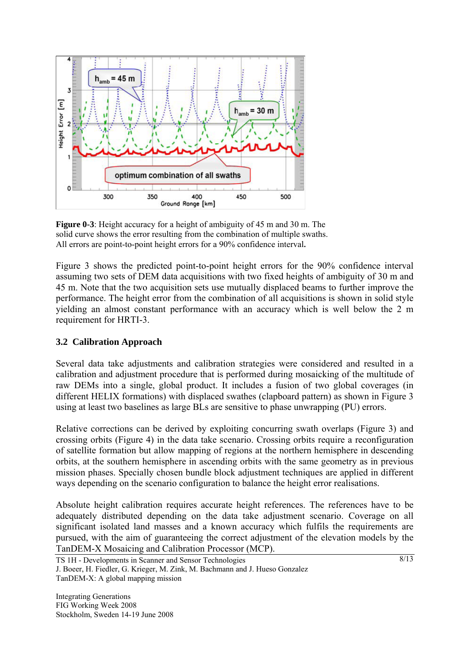

**Figure 0-3**: Height accuracy for a height of ambiguity of 45 m and 30 m. The solid curve shows the error resulting from the combination of multiple swaths. All errors are point-to-point height errors for a 90% confidence interval**.** 

Figure 3 shows the predicted point-to-point height errors for the 90% confidence interval assuming two sets of DEM data acquisitions with two fixed heights of ambiguity of 30 m and 45 m. Note that the two acquisition sets use mutually displaced beams to further improve the performance. The height error from the combination of all acquisitions is shown in solid style yielding an almost constant performance with an accuracy which is well below the 2 m requirement for HRTI-3.

# **3.2 Calibration Approach**

Several data take adjustments and calibration strategies were considered and resulted in a calibration and adjustment procedure that is performed during mosaicking of the multitude of raw DEMs into a single, global product. It includes a fusion of two global coverages (in different HELIX formations) with displaced swathes (clapboard pattern) as shown in Figure 3 using at least two baselines as large BLs are sensitive to phase unwrapping (PU) errors.

Relative corrections can be derived by exploiting concurring swath overlaps (Figure 3) and crossing orbits (Figure 4) in the data take scenario. Crossing orbits require a reconfiguration of satellite formation but allow mapping of regions at the northern hemisphere in descending orbits, at the southern hemisphere in ascending orbits with the same geometry as in previous mission phases. Specially chosen bundle block adjustment techniques are applied in different ways depending on the scenario configuration to balance the height error realisations.

Absolute height calibration requires accurate height references. The references have to be adequately distributed depending on the data take adjustment scenario. Coverage on all significant isolated land masses and a known accuracy which fulfils the requirements are pursued, with the aim of guaranteeing the correct adjustment of the elevation models by the TanDEM-X Mosaicing and Calibration Processor (MCP).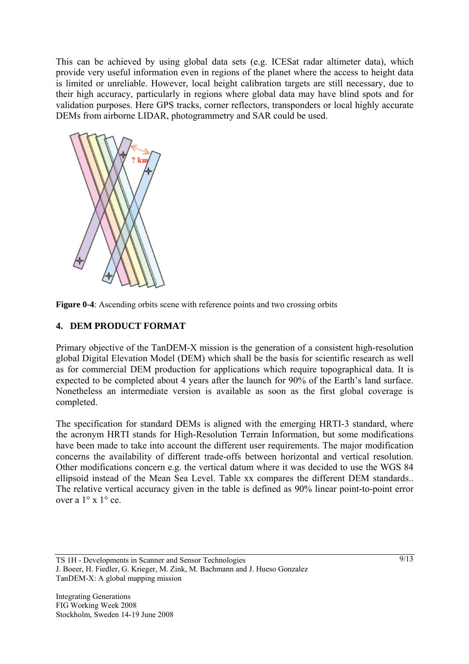This can be achieved by using global data sets (e.g. ICESat radar altimeter data), which provide very useful information even in regions of the planet where the access to height data is limited or unreliable. However, local height calibration targets are still necessary, due to their high accuracy, particularly in regions where global data may have blind spots and for validation purposes. Here GPS tracks, corner reflectors, transponders or local highly accurate DEMs from airborne LIDAR, photogrammetry and SAR could be used.





## **4. DEM PRODUCT FORMAT**

Primary objective of the TanDEM-X mission is the generation of a consistent high-resolution global Digital Elevation Model (DEM) which shall be the basis for scientific research as well as for commercial DEM production for applications which require topographical data. It is expected to be completed about 4 years after the launch for 90% of the Earth's land surface. Nonetheless an intermediate version is available as soon as the first global coverage is completed.

The specification for standard DEMs is aligned with the emerging HRTI-3 standard, where the acronym HRTI stands for High-Resolution Terrain Information, but some modifications have been made to take into account the different user requirements. The major modification concerns the availability of different trade-offs between horizontal and vertical resolution. Other modifications concern e.g. the vertical datum where it was decided to use the WGS 84 ellipsoid instead of the Mean Sea Level. Table xx compares the different DEM standards.. The relative vertical accuracy given in the table is defined as 90% linear point-to-point error over a 1° x 1° ce.

TS 1H - Developments in Scanner and Sensor Technologies J. Boeer, H. Fiedler, G. Krieger, M. Zink, M. Bachmann and J. Hueso Gonzalez TanDEM-X: A global mapping mission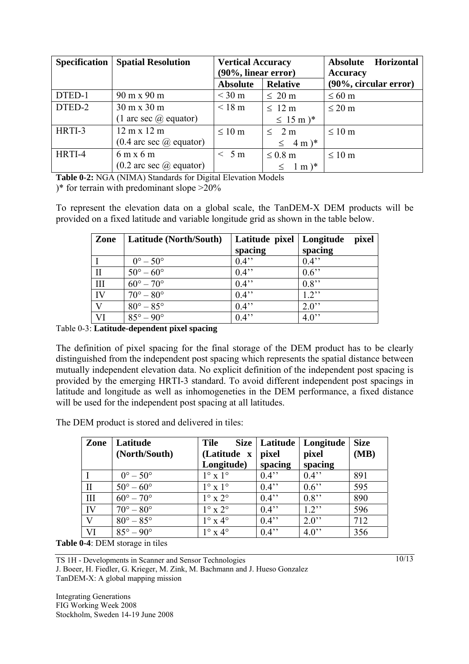| <b>Specification</b> | <b>Spatial Resolution</b>                    | <b>Vertical Accuracy</b><br>(90%, linear error) |                                  | <b>Absolute</b><br><b>Horizontal</b><br><b>Accuracy</b> |
|----------------------|----------------------------------------------|-------------------------------------------------|----------------------------------|---------------------------------------------------------|
|                      |                                              | <b>Absolute</b>                                 | <b>Relative</b>                  | (90%, circular error)                                   |
| DTED-1               | 90 m x 90 m                                  | $<$ 30 m                                        | $\leq 20$ m                      | $\leq 60$ m                                             |
| DTED-2               | $30 \text{ m} \times 30 \text{ m}$           | $< 18 \text{ m}$                                | $\leq 12 \text{ m}$              | $\leq$ 20 m                                             |
|                      | $(1 \text{ arc sec } \overline{a})$ equator) |                                                 | $\leq 15 \text{ m}$ <sup>*</sup> |                                                         |
| HRTI-3               | $12 \text{ m} \times 12 \text{ m}$           | $\leq 10$ m                                     | $\leq$ 2 m                       | $\leq 10$ m                                             |
|                      | $(0.4 \text{ arc sec } \omega)$ equator)     |                                                 | $\leq$ 4 m) <sup>*</sup>         |                                                         |
| HRTI-4               | $6m \times 6m$                               | < 5m                                            | $\leq 0.8$ m                     | $\leq 10$ m                                             |
|                      | $(0.2 \text{ arc sec } \omega)$ equator)     |                                                 | $1 \text{ m}$ <sup>*</sup>       |                                                         |

**Table 0-2:** NGA (NIMA) Standards for Digital Elevation Models

)\* for terrain with predominant slope  $>20\%$ 

To represent the elevation data on a global scale, the TanDEM-X DEM products will be provided on a fixed latitude and variable longitude grid as shown in the table below.

| Zone         | Latitude (North/South)    | Latitude pixel<br>spacing | Longitude<br>pixel<br>spacing |
|--------------|---------------------------|---------------------------|-------------------------------|
|              | $0^\circ - 50^\circ$      | $0.4$ "                   | $0.4$ "                       |
| $\mathbf{I}$ | $50^{\circ} - 60^{\circ}$ | $0.4$ "                   | $0.6$ "                       |
| III          | $60^\circ - 70^\circ$     | $0.4$ "                   | $0.8$ "                       |
| IV           | $70^{\circ} - 80^{\circ}$ | $0.4$ "                   | $1.2$ "                       |
| V            | $80^\circ - 85^\circ$     | $0.4$ "                   | $2.0$ "                       |
| VI           | $85^{\circ} - 90^{\circ}$ | $0.4$ "                   | $4.0$ "                       |

Table 0-3: **Latitude-dependent pixel spacing** 

The definition of pixel spacing for the final storage of the DEM product has to be clearly distinguished from the independent post spacing which represents the spatial distance between mutually independent elevation data. No explicit definition of the independent post spacing is provided by the emerging HRTI-3 standard. To avoid different independent post spacings in latitude and longitude as well as inhomogeneties in the DEM performance, a fixed distance will be used for the independent post spacing at all latitudes.

The DEM product is stored and delivered in tiles:

| Zone         | Latitude<br>(North/South) | <b>Tile</b><br>(Latitude x<br>Longitude) | Size   Latitude<br>pixel<br>spacing | Longitude<br>pixel<br>spacing | <b>Size</b><br>(MB) |
|--------------|---------------------------|------------------------------------------|-------------------------------------|-------------------------------|---------------------|
|              | $0^\circ - 50^\circ$      | $1^\circ \times 1^\circ$                 | $0.4$ "                             | $0.4$ "                       | 891                 |
| $\rm II$     | $50^\circ - 60^\circ$     | $1^\circ$ x $1^\circ$                    | $0.4$ "                             | $0.6$ "                       | 595                 |
| III          | $60^{\circ} - 70^{\circ}$ | $1^\circ$ x $2^\circ$                    | $0.4$ "                             | $0.8$ "                       | 890                 |
| IV           | $70^{\circ} - 80^{\circ}$ | $1^\circ$ x $2^\circ$                    | $0.4$ "                             | $1.2$ "                       | 596                 |
| $\mathbf{V}$ | $80^\circ - 85^\circ$     | $1^\circ$ x $4^\circ$                    | $0.4$ "                             | $2.0$ "                       | 712                 |
| VI           | $85^{\circ} - 90^{\circ}$ | $1^\circ$ x $4^\circ$                    | $0.4$ "                             | $4.0$ "                       | 356                 |

**Table 0-4**: DEM storage in tiles

TS 1H - Developments in Scanner and Sensor Technologies J. Boeer, H. Fiedler, G. Krieger, M. Zink, M. Bachmann and J. Hueso Gonzalez TanDEM-X: A global mapping mission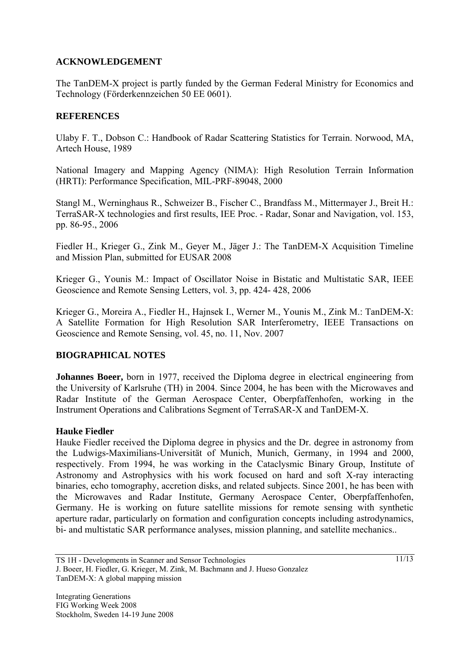## **ACKNOWLEDGEMENT**

The TanDEM-X project is partly funded by the German Federal Ministry for Economics and Technology (Förderkennzeichen 50 EE 0601).

### **REFERENCES**

Ulaby F. T., Dobson C.: Handbook of Radar Scattering Statistics for Terrain. Norwood, MA, Artech House, 1989

National Imagery and Mapping Agency (NIMA): High Resolution Terrain Information (HRTI): Performance Specification, MIL-PRF-89048, 2000

Stangl M., Werninghaus R., Schweizer B., Fischer C., Brandfass M., Mittermayer J., Breit H.: TerraSAR-X technologies and first results, IEE Proc. - Radar, Sonar and Navigation, vol. 153, pp. 86-95., 2006

Fiedler H., Krieger G., Zink M., Geyer M., Jäger J.: The TanDEM-X Acquisition Timeline and Mission Plan, submitted for EUSAR 2008

Krieger G., Younis M.: Impact of Oscillator Noise in Bistatic and Multistatic SAR, IEEE Geoscience and Remote Sensing Letters, vol. 3, pp. 424- 428, 2006

Krieger G., Moreira A., Fiedler H., Hajnsek I., Werner M., Younis M., Zink M.: TanDEM-X: A Satellite Formation for High Resolution SAR Interferometry, IEEE Transactions on Geoscience and Remote Sensing, vol. 45, no. 11, Nov. 2007

### **BIOGRAPHICAL NOTES**

**Johannes Boeer,** born in 1977, received the Diploma degree in electrical engineering from the University of Karlsruhe (TH) in 2004. Since 2004, he has been with the Microwaves and Radar Institute of the German Aerospace Center, Oberpfaffenhofen, working in the Instrument Operations and Calibrations Segment of TerraSAR-X and TanDEM-X.

### **Hauke Fiedler**

Hauke Fiedler received the Diploma degree in physics and the Dr. degree in astronomy from the Ludwigs-Maximilians-Universität of Munich, Munich, Germany, in 1994 and 2000, respectively. From 1994, he was working in the Cataclysmic Binary Group, Institute of Astronomy and Astrophysics with his work focused on hard and soft X-ray interacting binaries, echo tomography, accretion disks, and related subjects. Since 2001, he has been with the Microwaves and Radar Institute, Germany Aerospace Center, Oberpfaffenhofen, Germany. He is working on future satellite missions for remote sensing with synthetic aperture radar, particularly on formation and configuration concepts including astrodynamics, bi- and multistatic SAR performance analyses, mission planning, and satellite mechanics..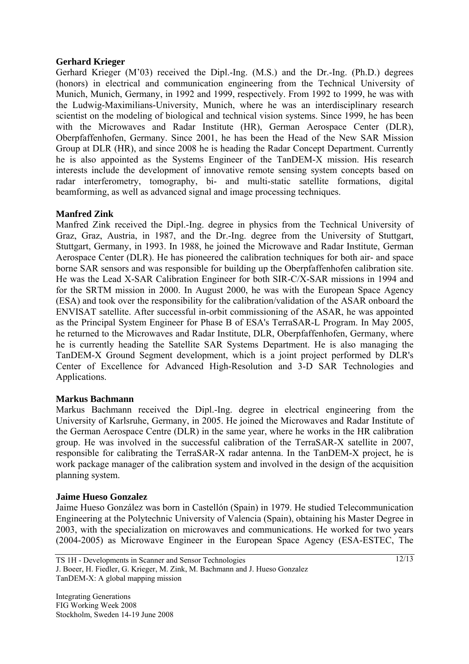#### **Gerhard Krieger**

Gerhard Krieger (M'03) received the Dipl.-Ing. (M.S.) and the Dr.-Ing. (Ph.D.) degrees (honors) in electrical and communication engineering from the Technical University of Munich, Munich, Germany, in 1992 and 1999, respectively. From 1992 to 1999, he was with the Ludwig-Maximilians-University, Munich, where he was an interdisciplinary research scientist on the modeling of biological and technical vision systems. Since 1999, he has been with the Microwaves and Radar Institute (HR), German Aerospace Center (DLR), Oberpfaffenhofen, Germany. Since 2001, he has been the Head of the New SAR Mission Group at DLR (HR), and since 2008 he is heading the Radar Concept Department. Currently he is also appointed as the Systems Engineer of the TanDEM-X mission. His research interests include the development of innovative remote sensing system concepts based on radar interferometry, tomography, bi- and multi-static satellite formations, digital beamforming, as well as advanced signal and image processing techniques.

#### **Manfred Zink**

Manfred Zink received the Dipl.-Ing. degree in physics from the Technical University of Graz, Graz, Austria, in 1987, and the Dr.-Ing. degree from the University of Stuttgart, Stuttgart, Germany, in 1993. In 1988, he joined the Microwave and Radar Institute, German Aerospace Center (DLR). He has pioneered the calibration techniques for both air- and space borne SAR sensors and was responsible for building up the Oberpfaffenhofen calibration site. He was the Lead X-SAR Calibration Engineer for both SIR-C/X-SAR missions in 1994 and for the SRTM mission in 2000. In August 2000, he was with the European Space Agency (ESA) and took over the responsibility for the calibration/validation of the ASAR onboard the ENVISAT satellite. After successful in-orbit commissioning of the ASAR, he was appointed as the Principal System Engineer for Phase B of ESA's TerraSAR-L Program. In May 2005, he returned to the Microwaves and Radar Institute, DLR, Oberpfaffenhofen, Germany, where he is currently heading the Satellite SAR Systems Department. He is also managing the TanDEM-X Ground Segment development, which is a joint project performed by DLR's Center of Excellence for Advanced High-Resolution and 3-D SAR Technologies and Applications.

#### **Markus Bachmann**

Markus Bachmann received the Dipl.-Ing. degree in electrical engineering from the University of Karlsruhe, Germany, in 2005. He joined the Microwaves and Radar Institute of the German Aerospace Centre (DLR) in the same year, where he works in the HR calibration group. He was involved in the successful calibration of the TerraSAR-X satellite in 2007, responsible for calibrating the TerraSAR-X radar antenna. In the TanDEM-X project, he is work package manager of the calibration system and involved in the design of the acquisition planning system.

#### **Jaime Hueso Gonzalez**

Jaime Hueso González was born in Castellón (Spain) in 1979. He studied Telecommunication Engineering at the Polytechnic University of Valencia (Spain), obtaining his Master Degree in 2003, with the specialization on microwaves and communications. He worked for two years (2004-2005) as Microwave Engineer in the European Space Agency (ESA-ESTEC, The